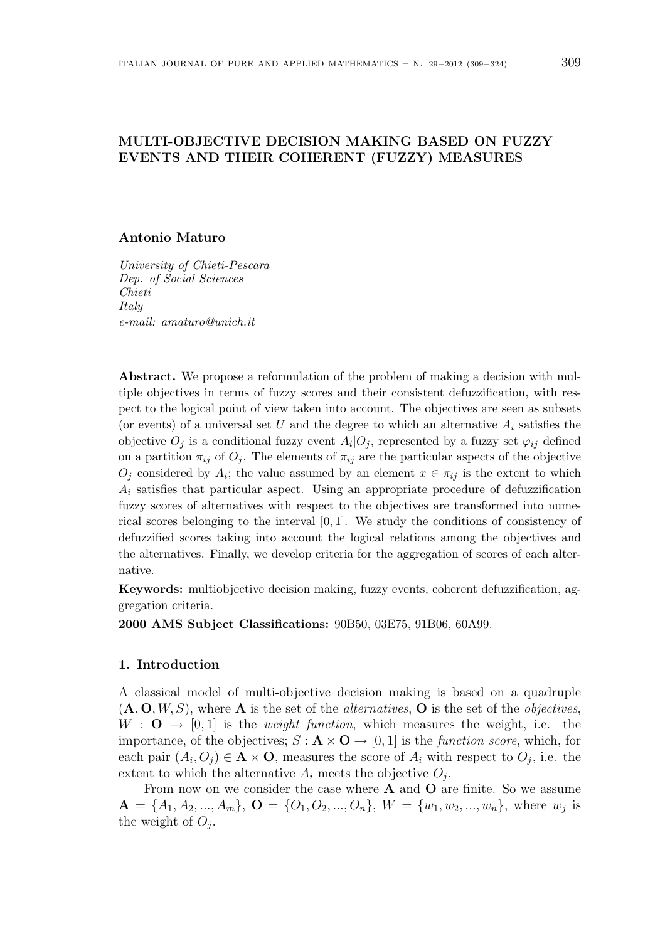# MULTI-OBJECTIVE DECISION MAKING BASED ON FUZZY EVENTS AND THEIR COHERENT (FUZZY) MEASURES

## Antonio Maturo

University of Chieti-Pescara Dep. of Social Sciences Chieti Italy e-mail: amaturo@unich.it

Abstract. We propose a reformulation of the problem of making a decision with multiple objectives in terms of fuzzy scores and their consistent defuzzification, with respect to the logical point of view taken into account. The objectives are seen as subsets (or events) of a universal set U and the degree to which an alternative  $A_i$  satisfies the objective  $O_j$  is a conditional fuzzy event  $A_i|O_j$ , represented by a fuzzy set  $\varphi_{ij}$  defined on a partition  $\pi_{ij}$  of  $O_j$ . The elements of  $\pi_{ij}$  are the particular aspects of the objective  $O_j$  considered by  $A_i$ ; the value assumed by an element  $x \in \pi_{ij}$  is the extent to which  $A_i$  satisfies that particular aspect. Using an appropriate procedure of defuzzification fuzzy scores of alternatives with respect to the objectives are transformed into numerical scores belonging to the interval [0, 1]. We study the conditions of consistency of defuzzified scores taking into account the logical relations among the objectives and the alternatives. Finally, we develop criteria for the aggregation of scores of each alternative.

Keywords: multiobjective decision making, fuzzy events, coherent defuzzification, aggregation criteria.

2000 AMS Subject Classifications: 90B50, 03E75, 91B06, 60A99.

## 1. Introduction

A classical model of multi-objective decision making is based on a quadruple  $(A, O, W, S)$ , where A is the set of the *alternatives*, O is the set of the *objectives*,  $W : \mathbf{O} \to [0, 1]$  is the *weight function*, which measures the weight, i.e. the importance, of the objectives;  $S : \mathbf{A} \times \mathbf{O} \rightarrow [0, 1]$  is the *function score*, which, for each pair  $(A_i, O_j) \in \mathbf{A} \times \mathbf{O}$ , measures the score of  $A_i$  with respect to  $O_j$ , i.e. the extent to which the alternative  $A_i$  meets the objective  $O_j$ .

From now on we consider the case where  $A$  and  $O$  are finite. So we assume  $\mathbf{A} = \{A_1, A_2, ..., A_m\}, \mathbf{O} = \{O_1, O_2, ..., O_n\}, W = \{w_1, w_2, ..., w_n\}, \text{ where } w_j \text{ is }$ the weight of  $O_j$ .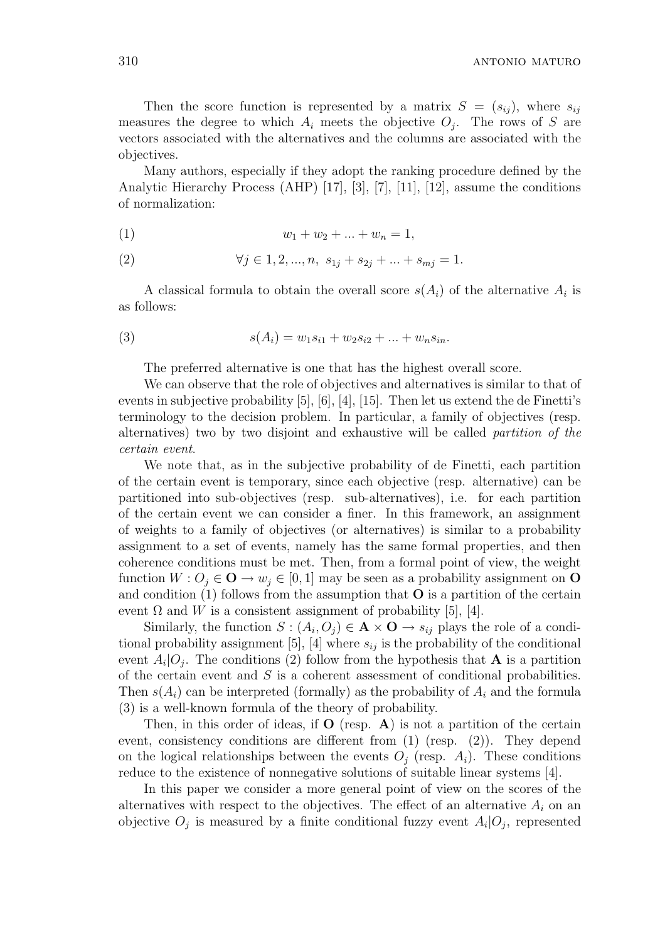Then the score function is represented by a matrix  $S = (s_{ij})$ , where  $s_{ij}$ measures the degree to which  $A_i$  meets the objective  $O_j$ . The rows of S are vectors associated with the alternatives and the columns are associated with the objectives.

Many authors, especially if they adopt the ranking procedure defined by the Analytic Hierarchy Process (AHP) [17], [3], [7], [11], [12], assume the conditions of normalization:

$$
(1) \t\t\t w_1 + w_2 + \ldots + w_n = 1,
$$

(2) 
$$
\forall j \in 1, 2, ..., n, s_{1j} + s_{2j} + ... + s_{mj} = 1.
$$

A classical formula to obtain the overall score  $s(A_i)$  of the alternative  $A_i$  is as follows:

(3) 
$$
s(A_i) = w_1 s_{i1} + w_2 s_{i2} + \dots + w_n s_{in}.
$$

The preferred alternative is one that has the highest overall score.

We can observe that the role of objectives and alternatives is similar to that of events in subjective probability [5], [6], [4], [15]. Then let us extend the de Finetti's terminology to the decision problem. In particular, a family of objectives (resp. alternatives) two by two disjoint and exhaustive will be called partition of the certain event.

We note that, as in the subjective probability of de Finetti, each partition of the certain event is temporary, since each objective (resp. alternative) can be partitioned into sub-objectives (resp. sub-alternatives), i.e. for each partition of the certain event we can consider a finer. In this framework, an assignment of weights to a family of objectives (or alternatives) is similar to a probability assignment to a set of events, namely has the same formal properties, and then coherence conditions must be met. Then, from a formal point of view, the weight function  $W: O_i \in \mathbf{O} \to w_i \in [0, 1]$  may be seen as a probability assignment on  $\mathbf{O}$ and condition  $(1)$  follows from the assumption that **O** is a partition of the certain event  $\Omega$  and W is a consistent assignment of probability [5], [4].

Similarly, the function  $S: (A_i, O_j) \in \mathbf{A} \times \mathbf{O} \rightarrow s_{ij}$  plays the role of a conditional probability assignment [5], [4] where  $s_{ij}$  is the probability of the conditional event  $A_i|O_j$ . The conditions (2) follow from the hypothesis that **A** is a partition of the certain event and  $S$  is a coherent assessment of conditional probabilities. Then  $s(A_i)$  can be interpreted (formally) as the probability of  $A_i$  and the formula (3) is a well-known formula of the theory of probability.

Then, in this order of ideas, if  $O$  (resp. A) is not a partition of the certain event, consistency conditions are different from (1) (resp. (2)). They depend on the logical relationships between the events  $O_i$  (resp.  $A_i$ ). These conditions reduce to the existence of nonnegative solutions of suitable linear systems [4].

In this paper we consider a more general point of view on the scores of the alternatives with respect to the objectives. The effect of an alternative  $A_i$  on an objective  $O_j$  is measured by a finite conditional fuzzy event  $A_i|O_j$ , represented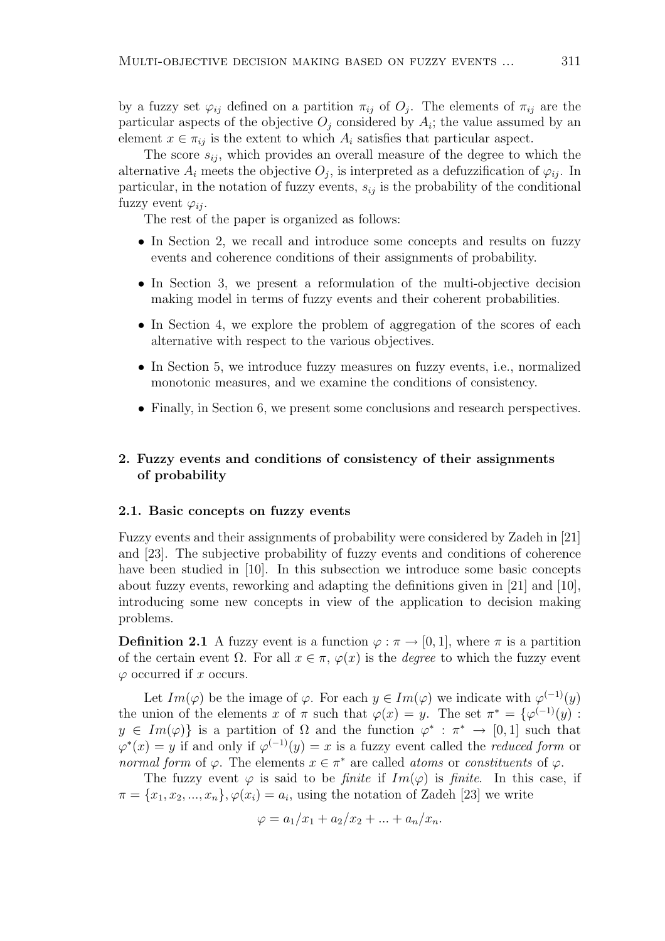by a fuzzy set  $\varphi_{ij}$  defined on a partition  $\pi_{ij}$  of  $O_j$ . The elements of  $\pi_{ij}$  are the particular aspects of the objective  $O_j$  considered by  $A_i$ ; the value assumed by an element  $x \in \pi_{ij}$  is the extent to which  $A_i$  satisfies that particular aspect.

The score  $s_{ii}$ , which provides an overall measure of the degree to which the alternative  $A_i$  meets the objective  $O_j$ , is interpreted as a defuzzification of  $\varphi_{ij}$ . In particular, in the notation of fuzzy events,  $s_{ij}$  is the probability of the conditional fuzzy event  $\varphi_{ii}$ .

The rest of the paper is organized as follows:

- In Section 2, we recall and introduce some concepts and results on fuzzy events and coherence conditions of their assignments of probability.
- In Section 3, we present a reformulation of the multi-objective decision making model in terms of fuzzy events and their coherent probabilities.
- In Section 4, we explore the problem of aggregation of the scores of each alternative with respect to the various objectives.
- In Section 5, we introduce fuzzy measures on fuzzy events, i.e., normalized monotonic measures, and we examine the conditions of consistency.
- Finally, in Section 6, we present some conclusions and research perspectives.

# 2. Fuzzy events and conditions of consistency of their assignments of probability

## 2.1. Basic concepts on fuzzy events

Fuzzy events and their assignments of probability were considered by Zadeh in [21] and [23]. The subjective probability of fuzzy events and conditions of coherence have been studied in [10]. In this subsection we introduce some basic concepts about fuzzy events, reworking and adapting the definitions given in [21] and [10], introducing some new concepts in view of the application to decision making problems.

**Definition 2.1** A fuzzy event is a function  $\varphi : \pi \to [0, 1]$ , where  $\pi$  is a partition of the certain event  $\Omega$ . For all  $x \in \pi$ ,  $\varphi(x)$  is the *degree* to which the fuzzy event  $\varphi$  occurred if x occurs.

Let  $Im(\varphi)$  be the image of  $\varphi$ . For each  $y \in Im(\varphi)$  we indicate with  $\varphi^{(-1)}(y)$ the union of the elements x of  $\pi$  such that  $\varphi(x) = y$ . The set  $\pi^* = {\varphi}^{(-1)}(y)$ :  $y \in Im(\varphi)$  is a partition of  $\Omega$  and the function  $\varphi^* : \pi^* \to [0,1]$  such that  $\varphi^*(x) = y$  if and only if  $\varphi^{(-1)}(y) = x$  is a fuzzy event called the *reduced form* or normal form of  $\varphi$ . The elements  $x \in \pi^*$  are called atoms or constituents of  $\varphi$ .

The fuzzy event  $\varphi$  is said to be *finite* if  $Im(\varphi)$  is *finite*. In this case, if  $\pi = \{x_1, x_2, ..., x_n\}, \varphi(x_i) = a_i$ , using the notation of Zadeh [23] we write

$$
\varphi = a_1/x_1 + a_2/x_2 + \dots + a_n/x_n.
$$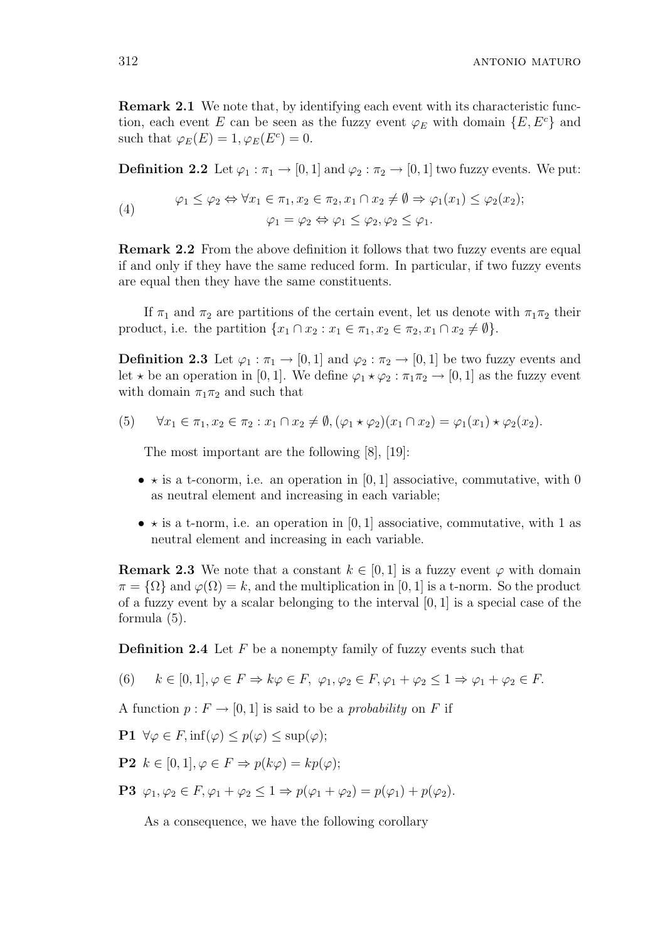Remark 2.1 We note that, by identifying each event with its characteristic function, each event E can be seen as the fuzzy event  $\varphi_E$  with domain  $\{E, E^c\}$  and such that  $\varphi_E(E) = 1, \varphi_E(E^c) = 0.$ 

**Definition 2.2** Let  $\varphi_1 : \pi_1 \to [0, 1]$  and  $\varphi_2 : \pi_2 \to [0, 1]$  two fuzzy events. We put:

(4) 
$$
\varphi_1 \leq \varphi_2 \Leftrightarrow \forall x_1 \in \pi_1, x_2 \in \pi_2, x_1 \cap x_2 \neq \emptyset \Rightarrow \varphi_1(x_1) \leq \varphi_2(x_2);
$$

$$
\varphi_1 = \varphi_2 \Leftrightarrow \varphi_1 \leq \varphi_2, \varphi_2 \leq \varphi_1.
$$

Remark 2.2 From the above definition it follows that two fuzzy events are equal if and only if they have the same reduced form. In particular, if two fuzzy events are equal then they have the same constituents.

If  $\pi_1$  and  $\pi_2$  are partitions of the certain event, let us denote with  $\pi_1\pi_2$  their product, i.e. the partition  $\{x_1 \cap x_2 : x_1 \in \pi_1, x_2 \in \pi_2, x_1 \cap x_2 \neq \emptyset\}.$ 

**Definition 2.3** Let  $\varphi_1 : \pi_1 \to [0, 1]$  and  $\varphi_2 : \pi_2 \to [0, 1]$  be two fuzzy events and let  $\star$  be an operation in [0, 1]. We define  $\varphi_1 \star \varphi_2 : \pi_1 \pi_2 \to [0, 1]$  as the fuzzy event with domain  $\pi_1\pi_2$  and such that

(5) 
$$
\forall x_1 \in \pi_1, x_2 \in \pi_2 : x_1 \cap x_2 \neq \emptyset, (\varphi_1 \star \varphi_2)(x_1 \cap x_2) = \varphi_1(x_1) \star \varphi_2(x_2).
$$

The most important are the following [8], [19]:

- $\star$  is a t-conorm, i.e. an operation in [0, 1] associative, commutative, with 0 as neutral element and increasing in each variable;
- $\star$  is a t-norm, i.e. an operation in [0, 1] associative, commutative, with 1 as neutral element and increasing in each variable.

**Remark 2.3** We note that a constant  $k \in [0, 1]$  is a fuzzy event  $\varphi$  with domain  $\pi = {\Omega}$  and  $\varphi(\Omega) = k$ , and the multiplication in [0, 1] is a t-norm. So the product of a fuzzy event by a scalar belonging to the interval  $[0, 1]$  is a special case of the formula (5).

**Definition 2.4** Let  $F$  be a nonempty family of fuzzy events such that

(6)  $k \in [0, 1], \varphi \in F \Rightarrow k\varphi \in F$ ,  $\varphi_1, \varphi_2 \in F$ ,  $\varphi_1 + \varphi_2 \leq 1 \Rightarrow \varphi_1 + \varphi_2 \in F$ .

A function  $p: F \to [0, 1]$  is said to be a *probability* on F if

$$
\mathbf{P1}\ \forall \varphi \in F, \inf(\varphi) \le p(\varphi) \le \sup(\varphi);
$$

**P2**  $k \in [0, 1], \varphi \in F \Rightarrow p(k\varphi) = kp(\varphi);$ 

**P3**  $\varphi_1, \varphi_2 \in F$ ,  $\varphi_1 + \varphi_2 \leq 1 \Rightarrow p(\varphi_1 + \varphi_2) = p(\varphi_1) + p(\varphi_2)$ .

As a consequence, we have the following corollary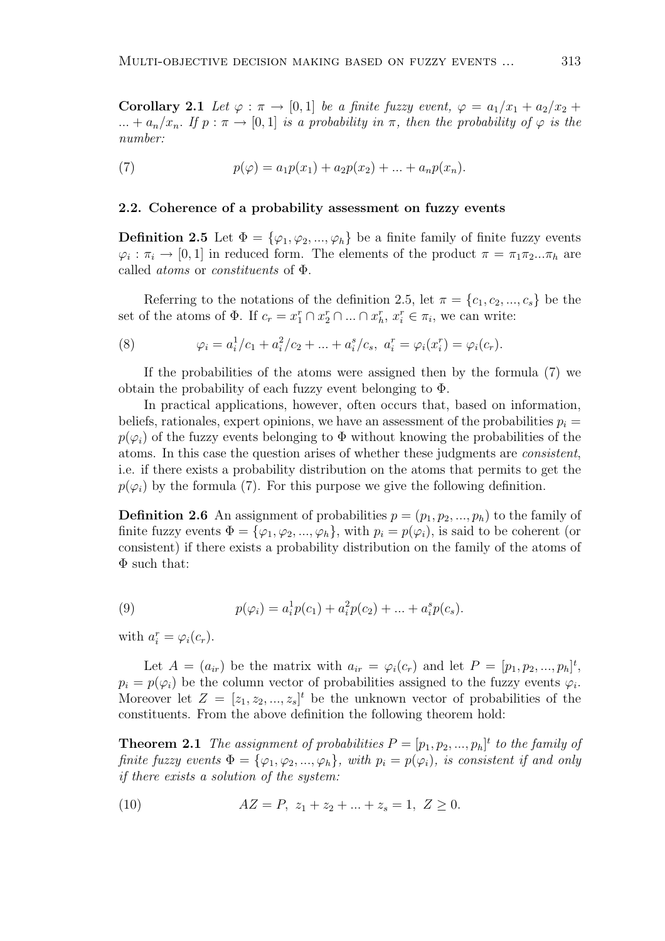Corollary 2.1 Let  $\varphi : \pi \to [0,1]$  be a finite fuzzy event,  $\varphi = a_1/x_1 + a_2/x_2 +$ ... +  $a_n/x_n$ . If  $p : \pi \to [0,1]$  is a probability in  $\pi$ , then the probability of  $\varphi$  is the number:

(7) 
$$
p(\varphi) = a_1 p(x_1) + a_2 p(x_2) + \dots + a_n p(x_n).
$$

### 2.2. Coherence of a probability assessment on fuzzy events

**Definition 2.5** Let  $\Phi = {\varphi_1, \varphi_2, ..., \varphi_h}$  be a finite family of finite fuzzy events  $\varphi_i : \pi_i \to [0,1]$  in reduced form. The elements of the product  $\pi = \pi_1 \pi_2 ... \pi_h$  are called atoms or constituents of Φ.

Referring to the notations of the definition 2.5, let  $\pi = \{c_1, c_2, ..., c_s\}$  be the set of the atoms of  $\Phi$ . If  $c_r = x_1^r \cap x_2^r \cap ... \cap x_h^r$ ,  $x_i^r \in \pi_i$ , we can write:

(8) 
$$
\varphi_i = a_i^1/c_1 + a_i^2/c_2 + \dots + a_i^s/c_s, \ a_i^r = \varphi_i(x_i^r) = \varphi_i(c_r).
$$

If the probabilities of the atoms were assigned then by the formula (7) we obtain the probability of each fuzzy event belonging to Φ.

In practical applications, however, often occurs that, based on information, beliefs, rationales, expert opinions, we have an assessment of the probabilities  $p_i =$  $p(\varphi_i)$  of the fuzzy events belonging to  $\Phi$  without knowing the probabilities of the atoms. In this case the question arises of whether these judgments are consistent, i.e. if there exists a probability distribution on the atoms that permits to get the  $p(\varphi_i)$  by the formula (7). For this purpose we give the following definition.

**Definition 2.6** An assignment of probabilities  $p = (p_1, p_2, ..., p_h)$  to the family of finite fuzzy events  $\Phi = {\varphi_1, \varphi_2, ..., \varphi_h}$ , with  $p_i = p(\varphi_i)$ , is said to be coherent (or consistent) if there exists a probability distribution on the family of the atoms of Φ such that:

(9) 
$$
p(\varphi_i) = a_i^1 p(c_1) + a_i^2 p(c_2) + \dots + a_i^s p(c_s).
$$

with  $a_i^r = \varphi_i(c_r)$ .

Let  $A = (a_{ir})$  be the matrix with  $a_{ir} = \varphi_i(c_r)$  and let  $P = [p_1, p_2, ..., p_h]^t$ ,  $p_i = p(\varphi_i)$  be the column vector of probabilities assigned to the fuzzy events  $\varphi_i$ . Moreover let  $Z = [z_1, z_2, ..., z_s]^t$  be the unknown vector of probabilities of the constituents. From the above definition the following theorem hold:

**Theorem 2.1** The assignment of probabilities  $P = [p_1, p_2, ..., p_h]^t$  to the family of finite fuzzy events  $\Phi = {\varphi_1, \varphi_2, ..., \varphi_h}$ , with  $p_i = p(\varphi_i)$ , is consistent if and only if there exists a solution of the system:

(10) 
$$
AZ = P, z_1 + z_2 + \dots + z_s = 1, Z \ge 0.
$$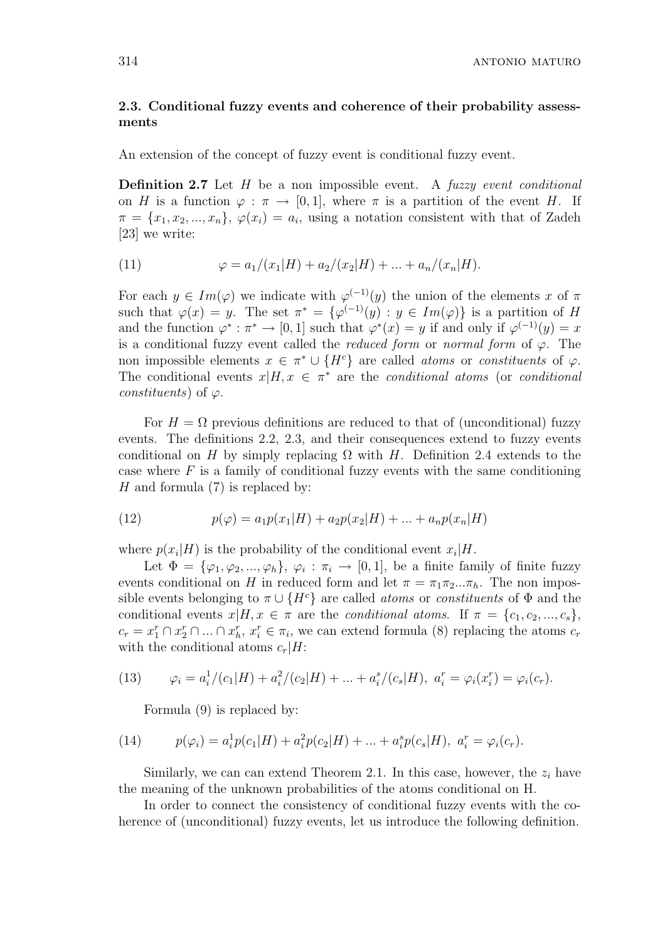314 antonio maturo maturo maturo maturo maturo maturo maturo maturo maturo maturo maturo maturo maturo maturo

# 2.3. Conditional fuzzy events and coherence of their probability assessments

An extension of the concept of fuzzy event is conditional fuzzy event.

**Definition 2.7** Let  $H$  be a non impossible event. A fuzzy event conditional on H is a function  $\varphi : \pi \to [0, 1]$ , where  $\pi$  is a partition of the event H. If  $\pi = \{x_1, x_2, ..., x_n\}, \varphi(x_i) = a_i$ , using a notation consistent with that of Zadeh [23] we write:

(11) 
$$
\varphi = a_1/(x_1|H) + a_2/(x_2|H) + \dots + a_n/(x_n|H).
$$

For each  $y \in Im(\varphi)$  we indicate with  $\varphi^{(-1)}(y)$  the union of the elements x of  $\pi$ such that  $\varphi(x) = y$ . The set  $\pi^* = {\varphi^{(-1)}(y) : y \in Im(\varphi)}$  is a partition of H and the function  $\varphi^* : \pi^* \to [0,1]$  such that  $\varphi^*(x) = y$  if and only if  $\varphi^{(-1)}(y) = x$ is a conditional fuzzy event called the *reduced form* or normal form of  $\varphi$ . The non impossible elements  $x \in \pi^* \cup \{H^c\}$  are called *atoms* or *constituents* of  $\varphi$ . The conditional events  $x|H, x \in \pi^*$  are the *conditional atoms* (or *conditional* constituents) of  $\varphi$ .

For  $H = \Omega$  previous definitions are reduced to that of (unconditional) fuzzy events. The definitions 2.2, 2.3, and their consequences extend to fuzzy events conditional on H by simply replacing  $\Omega$  with H. Definition 2.4 extends to the case where  $F$  is a family of conditional fuzzy events with the same conditioning H and formula  $(7)$  is replaced by:

(12) 
$$
p(\varphi) = a_1 p(x_1|H) + a_2 p(x_2|H) + \dots + a_n p(x_n|H)
$$

where  $p(x_i|H)$  is the probability of the conditional event  $x_i|H$ .

Let  $\Phi = {\varphi_1, \varphi_2, ..., \varphi_h}, \varphi_i : \pi_i \to [0, 1],$  be a finite family of finite fuzzy events conditional on H in reduced form and let  $\pi = \pi_1 \pi_2 ... \pi_h$ . The non impossible events belonging to  $\pi \cup \{H^c\}$  are called *atoms* or *constituents* of  $\Phi$  and the conditional events  $x|H, x \in \pi$  are the *conditional atoms*. If  $\pi = \{c_1, c_2, ..., c_s\},\$  $c_r = x_1^r \cap x_2^r \cap ... \cap x_h^r$ ,  $x_i^r \in \pi_i$ , we can extend formula (8) replacing the atoms  $c_r$ with the conditional atoms  $c_r|H$ :

(13) 
$$
\varphi_i = a_i^1/(c_1|H) + a_i^2/(c_2|H) + \dots + a_i^s/(c_s|H), \ a_i^r = \varphi_i(x_i^r) = \varphi_i(c_r).
$$

Formula (9) is replaced by:

(14) 
$$
p(\varphi_i) = a_i^1 p(c_1|H) + a_i^2 p(c_2|H) + \dots + a_i^s p(c_s|H), \ a_i^r = \varphi_i(c_r).
$$

Similarly, we can can extend Theorem 2.1. In this case, however, the  $z_i$  have the meaning of the unknown probabilities of the atoms conditional on H.

In order to connect the consistency of conditional fuzzy events with the coherence of (unconditional) fuzzy events, let us introduce the following definition.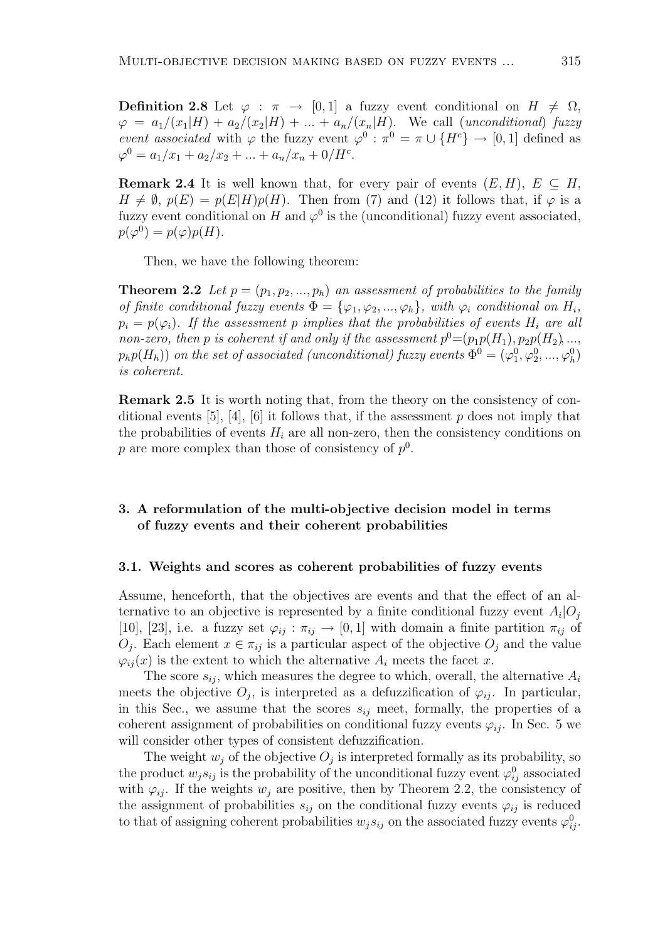**Definition 2.8** Let  $\varphi : \pi \to [0,1]$  a fuzzy event conditional on  $H \neq \Omega$ ,  $\varphi = a_1/(x_1|H) + a_2/(x_2|H) + \ldots + a_n/(x_n|H)$ . We call (unconditional) fuzzy event associated with  $\varphi$  the fuzzy event  $\varphi^0$ :  $\pi^0 = \pi \cup \{H^c\} \to [0,1]$  defined as  $\varphi^0 = a_1/x_1 + a_2/x_2 + \ldots + a_n/x_n + 0/H^c.$ 

**Remark 2.4** It is well known that, for every pair of events  $(E, H)$ ,  $E \subseteq H$ ,  $H \neq \emptyset$ ,  $p(E) = p(E|H)p(H)$ . Then from (7) and (12) it follows that, if  $\varphi$  is a fuzzy event conditional on H and  $\varphi^0$  is the (unconditional) fuzzy event associated,  $p(\varphi^0) = p(\varphi)p(H).$ 

Then, we have the following theorem:

**Theorem 2.2** Let  $p = (p_1, p_2, ..., p_h)$  an assessment of probabilities to the family of finite conditional fuzzy events  $\Phi = {\varphi_1, \varphi_2, ..., \varphi_h}$ , with  $\varphi_i$  conditional on  $H_i$ ,  $p_i = p(\varphi_i)$ . If the assessment p implies that the probabilities of events  $H_i$  are all non-zero, then p is coherent if and only if the assessment  $p^0 = (p_1p(H_1), p_2p(H_2), ...,$  $p_h p(H_h)$ ) on the set of associated (unconditional) fuzzy events  $\Phi^0 = (\varphi_1^0, \varphi_2^0, ..., \varphi_h^0)$ is coherent.

Remark 2.5 It is worth noting that, from the theory on the consistency of conditional events [5], [4], [6] it follows that, if the assessment p does not imply that the probabilities of events  $H_i$  are all non-zero, then the consistency conditions on p are more complex than those of consistency of  $p^0$ .

# 3. A reformulation of the multi-objective decision model in terms of fuzzy events and their coherent probabilities

#### 3.1. Weights and scores as coherent probabilities of fuzzy events

Assume, henceforth, that the objectives are events and that the effect of an alternative to an objective is represented by a finite conditional fuzzy event  $A_i|O_j$ [10], [23], i.e. a fuzzy set  $\varphi_{ij} : \pi_{ij} \to [0,1]$  with domain a finite partition  $\pi_{ij}$  of  $O_j$ . Each element  $x \in \pi_{ij}$  is a particular aspect of the objective  $O_j$  and the value  $\varphi_{ii}(x)$  is the extent to which the alternative  $A_i$  meets the facet x.

The score  $s_{ij}$ , which measures the degree to which, overall, the alternative  $A_i$ meets the objective  $O_j$ , is interpreted as a defuzzification of  $\varphi_{ij}$ . In particular, in this Sec., we assume that the scores  $s_{ij}$  meet, formally, the properties of a coherent assignment of probabilities on conditional fuzzy events  $\varphi_{ij}$ . In Sec. 5 we will consider other types of consistent defuzzification.

The weight  $w_j$  of the objective  $O_j$  is interpreted formally as its probability, so the product  $w_j s_{ij}$  is the probability of the unconditional fuzzy event  $\varphi_{ij}^0$  associated with  $\varphi_{ij}$ . If the weights  $w_j$  are positive, then by Theorem 2.2, the consistency of the assignment of probabilities  $s_{ij}$  on the conditional fuzzy events  $\varphi_{ij}$  is reduced to that of assigning coherent probabilities  $w_j s_{ij}$  on the associated fuzzy events  $\varphi_{ij}^0$ .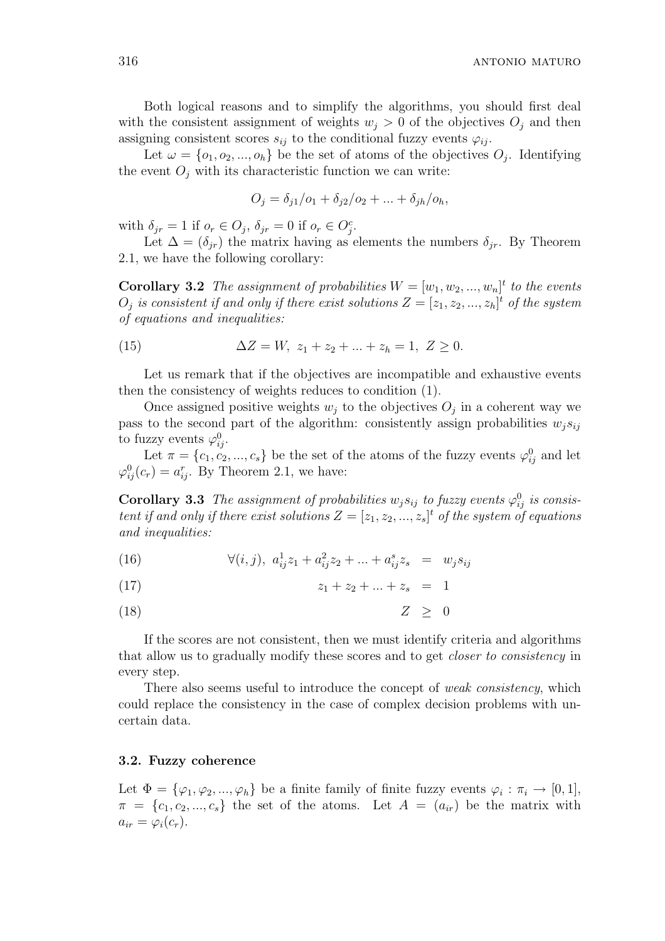Both logical reasons and to simplify the algorithms, you should first deal with the consistent assignment of weights  $w_j > 0$  of the objectives  $O_j$  and then assigning consistent scores  $s_{ij}$  to the conditional fuzzy events  $\varphi_{ij}$ .

Let  $\omega = \{o_1, o_2, ..., o_h\}$  be the set of atoms of the objectives  $O_j$ . Identifying the event  $O_i$  with its characteristic function we can write:

$$
O_j = \delta_{j1}/o_1 + \delta_{j2}/o_2 + \dots + \delta_{jh}/o_h,
$$

with  $\delta_{jr} = 1$  if  $o_r \in O_j$ ,  $\delta_{jr} = 0$  if  $o_r \in O_j^c$ .

Let  $\Delta = (\delta_{ir})$  the matrix having as elements the numbers  $\delta_{ir}$ . By Theorem 2.1, we have the following corollary:

**Corollary 3.2** The assignment of probabilities  $W = [w_1, w_2, ..., w_n]^t$  to the events  $O_j$  is consistent if and only if there exist solutions  $Z = [z_1, z_2, ..., z_h]^t$  of the system of equations and inequalities:

(15) 
$$
\Delta Z = W, z_1 + z_2 + ... + z_h = 1, Z \ge 0.
$$

Let us remark that if the objectives are incompatible and exhaustive events then the consistency of weights reduces to condition (1).

Once assigned positive weights  $w_j$  to the objectives  $O_j$  in a coherent way we pass to the second part of the algorithm: consistently assign probabilities  $w_i s_{ij}$ to fuzzy events  $\varphi_{ij}^0$ .

Let  $\pi = \{c_1, c_2, ..., c_s\}$  be the set of the atoms of the fuzzy events  $\varphi_{ij}^0$  and let  $\varphi_{ij}^0(c_r) = a_{ij}^r$ . By Theorem 2.1, we have:

**Corollary 3.3** The assignment of probabilities  $w_j s_{ij}$  to fuzzy events  $\varphi_{ij}^0$  is consistent if and only if there exist solutions  $Z = [z_1, z_2, ..., z_s]^t$  of the system of equations and inequalities:

(16)  $\forall (i, j), \ a_{ij}^1 z_1 + a_{ij}^2 z_2 + \dots + a_{ij}^s z_s = w_j s_{ij}$ 

$$
(17) \t\t\t z_1 + z_2 + \ldots + z_s = 1
$$

(18)  $Z \geq 0$ 

If the scores are not consistent, then we must identify criteria and algorithms that allow us to gradually modify these scores and to get closer to consistency in every step.

There also seems useful to introduce the concept of *weak consistency*, which could replace the consistency in the case of complex decision problems with uncertain data.

### 3.2. Fuzzy coherence

Let  $\Phi = {\varphi_1, \varphi_2, ..., \varphi_h}$  be a finite family of finite fuzzy events  $\varphi_i : \pi_i \to [0,1],$  $\pi = \{c_1, c_2, ..., c_s\}$  the set of the atoms. Let  $A = (a_{ir})$  be the matrix with  $a_{ir} = \varphi_i(c_r).$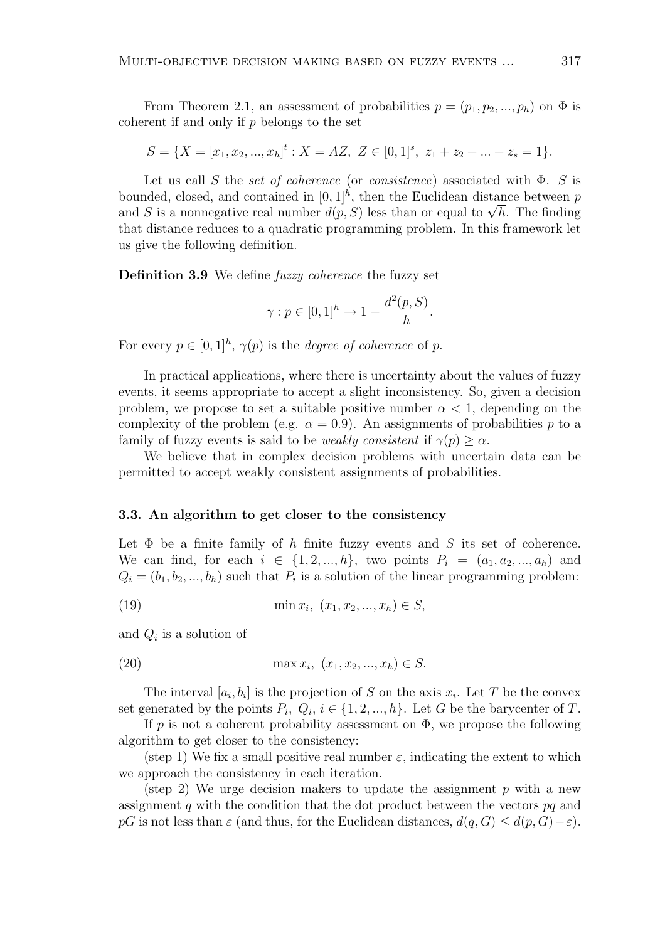From Theorem 2.1, an assessment of probabilities  $p = (p_1, p_2, ..., p_h)$  on  $\Phi$  is coherent if and only if  $p$  belongs to the set

$$
S = \{X = [x_1, x_2, ..., x_h]^t : X = AZ, Z \in [0, 1]^s, z_1 + z_2 + ... + z_s = 1\}.
$$

Let us call S the set of coherence (or consistence) associated with  $\Phi$ . S is bounded, closed, and contained in  $[0, 1]^h$ , then the Euclidean distance between p bounded, closed, and contained in [0, 1]<sup>"</sup>, then the Euclidean distance between p<br>and S is a nonnegative real number  $d(p, S)$  less than or equal to  $\sqrt{h}$ . The finding that distance reduces to a quadratic programming problem. In this framework let us give the following definition.

Definition 3.9 We define *fuzzy coherence* the fuzzy set

$$
\gamma: p \in [0,1]^h \to 1 - \frac{d^2(p,S)}{h}.
$$

For every  $p \in [0,1]^h$ ,  $\gamma(p)$  is the *degree of coherence* of p.

In practical applications, where there is uncertainty about the values of fuzzy events, it seems appropriate to accept a slight inconsistency. So, given a decision problem, we propose to set a suitable positive number  $\alpha < 1$ , depending on the complexity of the problem (e.g.  $\alpha = 0.9$ ). An assignments of probabilities p to a family of fuzzy events is said to be *weakly consistent* if  $\gamma(p) \geq \alpha$ .

We believe that in complex decision problems with uncertain data can be permitted to accept weakly consistent assignments of probabilities.

#### 3.3. An algorithm to get closer to the consistency

Let  $\Phi$  be a finite family of h finite fuzzy events and S its set of coherence. We can find, for each  $i \in \{1, 2, ..., h\}$ , two points  $P_i = (a_1, a_2, ..., a_h)$  and  $Q_i = (b_1, b_2, ..., b_h)$  such that  $P_i$  is a solution of the linear programming problem:

(19) 
$$
\min x_i, (x_1, x_2, ..., x_h) \in S,
$$

and  $Q_i$  is a solution of

(20) 
$$
\max x_i, (x_1, x_2, ..., x_h) \in S.
$$

The interval  $[a_i, b_i]$  is the projection of S on the axis  $x_i$ . Let T be the convex set generated by the points  $P_i, Q_i, i \in \{1, 2, ..., h\}$ . Let G be the barycenter of T.

If p is not a coherent probability assessment on  $\Phi$ , we propose the following algorithm to get closer to the consistency:

(step 1) We fix a small positive real number  $\varepsilon$ , indicating the extent to which we approach the consistency in each iteration.

(step 2) We urge decision makers to update the assignment p with a new assignment q with the condition that the dot product between the vectors  $pq$  and pG is not less than  $\varepsilon$  (and thus, for the Euclidean distances,  $d(q, G) \leq d(p, G) - \varepsilon$ ).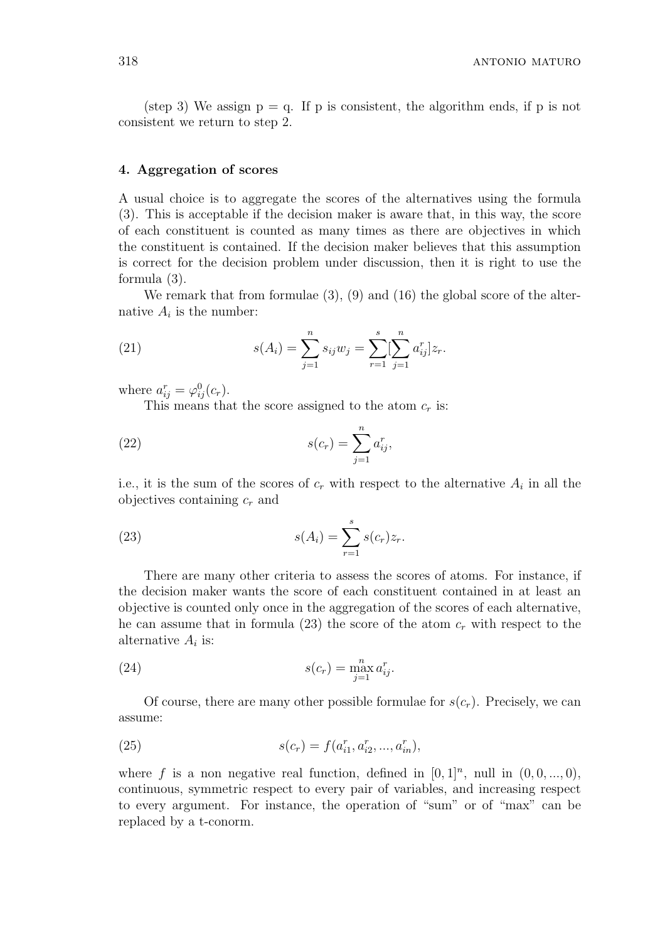(step 3) We assign  $p = q$ . If p is consistent, the algorithm ends, if p is not consistent we return to step 2.

## 4. Aggregation of scores

A usual choice is to aggregate the scores of the alternatives using the formula (3). This is acceptable if the decision maker is aware that, in this way, the score of each constituent is counted as many times as there are objectives in which the constituent is contained. If the decision maker believes that this assumption is correct for the decision problem under discussion, then it is right to use the formula (3).

We remark that from formulae (3), (9) and (16) the global score of the alternative  $A_i$  is the number:

(21) 
$$
s(A_i) = \sum_{j=1}^n s_{ij} w_j = \sum_{r=1}^s \left[ \sum_{j=1}^n a_{ij}^r \right] z_r.
$$

where  $a_{ij}^r = \varphi_{ij}^0(c_r)$ .

This means that the score assigned to the atom  $c_r$  is:

(22) 
$$
s(c_r) = \sum_{j=1}^{n} a_{ij}^r,
$$

i.e., it is the sum of the scores of  $c_r$  with respect to the alternative  $A_i$  in all the objectives containing  $c_r$  and

(23) 
$$
s(A_i) = \sum_{r=1}^{s} s(c_r) z_r.
$$

There are many other criteria to assess the scores of atoms. For instance, if the decision maker wants the score of each constituent contained in at least an objective is counted only once in the aggregation of the scores of each alternative, he can assume that in formula (23) the score of the atom  $c_r$  with respect to the alternative  $A_i$  is:

(24) 
$$
s(c_r) = \max_{j=1}^n a_{ij}^r.
$$

Of course, there are many other possible formulae for  $s(c_r)$ . Precisely, we can assume:

(25) 
$$
s(c_r) = f(a_{i1}^r, a_{i2}^r, ..., a_{in}^r),
$$

where f is a non negative real function, defined in  $[0, 1]^n$ , null in  $(0, 0, ..., 0)$ , continuous, symmetric respect to every pair of variables, and increasing respect to every argument. For instance, the operation of "sum" or of "max" can be replaced by a t-conorm.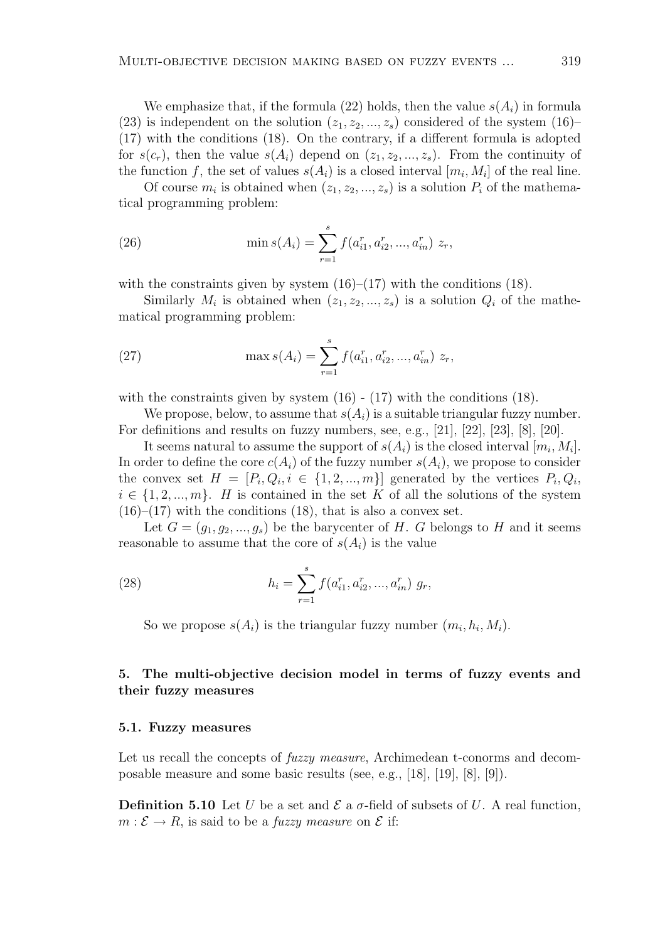We emphasize that, if the formula (22) holds, then the value  $s(A_i)$  in formula (23) is independent on the solution  $(z_1, z_2, ..., z_s)$  considered of the system (16)– (17) with the conditions (18). On the contrary, if a different formula is adopted for  $s(c_r)$ , then the value  $s(A_i)$  depend on  $(z_1, z_2, ..., z_s)$ . From the continuity of the function f, the set of values  $s(A_i)$  is a closed interval  $[m_i, M_i]$  of the real line.

Of course  $m_i$  is obtained when  $(z_1, z_2, ..., z_s)$  is a solution  $P_i$  of the mathematical programming problem:

(26) 
$$
\min s(A_i) = \sum_{r=1}^{s} f(a_{i1}^r, a_{i2}^r, ..., a_{in}^r) z_r,
$$

with the constraints given by system  $(16)$ – $(17)$  with the conditions  $(18)$ .

Similarly  $M_i$  is obtained when  $(z_1, z_2, ..., z_s)$  is a solution  $Q_i$  of the mathematical programming problem:

(27) 
$$
\max s(A_i) = \sum_{r=1}^{s} f(a_{i1}^r, a_{i2}^r, ..., a_{in}^r) z_r,
$$

with the constraints given by system  $(16)$  -  $(17)$  with the conditions  $(18)$ .

We propose, below, to assume that  $s(A_i)$  is a suitable triangular fuzzy number. For definitions and results on fuzzy numbers, see, e.g., [21], [22], [23], [8], [20].

It seems natural to assume the support of  $s(A_i)$  is the closed interval  $[m_i, M_i]$ . In order to define the core  $c(A_i)$  of the fuzzy number  $s(A_i)$ , we propose to consider the convex set  $H = [P_i, Q_i, i \in \{1, 2, ..., m\}]$  generated by the vertices  $P_i, Q_i$ ,  $i \in \{1, 2, ..., m\}$ . H is contained in the set K of all the solutions of the system  $(16)$ – $(17)$  with the conditions  $(18)$ , that is also a convex set.

Let  $G = (g_1, g_2, ..., g_s)$  be the barycenter of H. G belongs to H and it seems reasonable to assume that the core of  $s(A_i)$  is the value

(28) 
$$
h_i = \sum_{r=1}^{s} f(a_{i1}^r, a_{i2}^r, ..., a_{in}^r) g_r,
$$

So we propose  $s(A_i)$  is the triangular fuzzy number  $(m_i, h_i, M_i)$ .

# 5. The multi-objective decision model in terms of fuzzy events and their fuzzy measures

### 5.1. Fuzzy measures

Let us recall the concepts of *fuzzy measure*, Archimedean t-conorms and decomposable measure and some basic results (see, e.g., [18], [19], [8], [9]).

**Definition 5.10** Let U be a set and  $\mathcal{E}$  a  $\sigma$ -field of subsets of U. A real function,  $m : \mathcal{E} \to R$ , is said to be a *fuzzy measure* on  $\mathcal{E}$  if: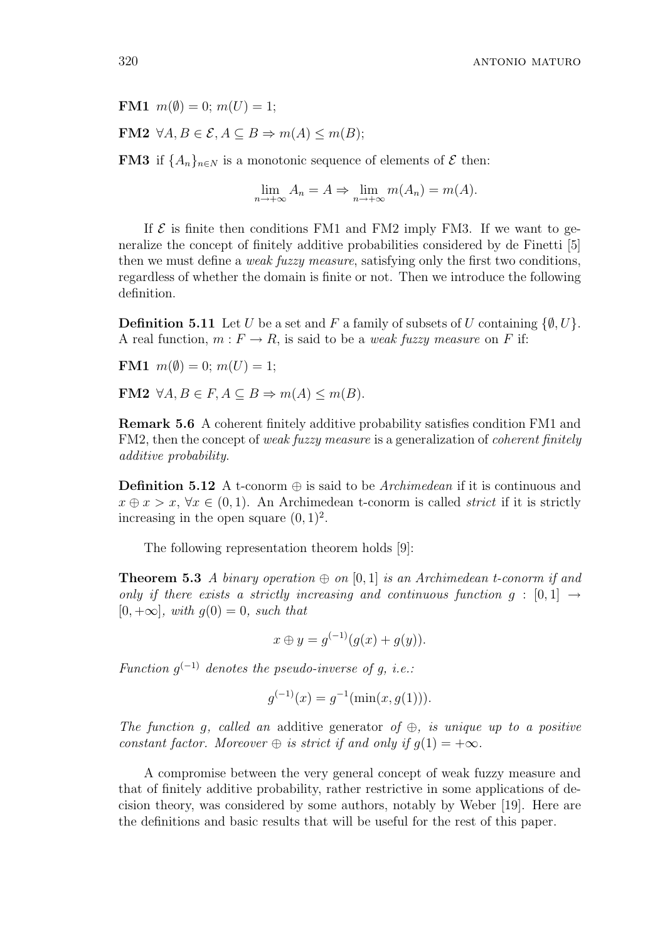FM1  $m(\emptyset) = 0$ ;  $m(U) = 1$ ;

FM2  $\forall A, B \in \mathcal{E}, A \subseteq B \Rightarrow m(A) \leq m(B)$ ;

**FM3** if  $\{A_n\}_{n\in\mathbb{N}}$  is a monotonic sequence of elements of  $\mathcal E$  then:

 $\lim_{n \to +\infty} A_n = A \Rightarrow \lim_{n \to +\infty} m(A_n) = m(A).$ 

If  $\mathcal E$  is finite then conditions FM1 and FM2 imply FM3. If we want to generalize the concept of finitely additive probabilities considered by de Finetti [5] then we must define a weak fuzzy measure, satisfying only the first two conditions, regardless of whether the domain is finite or not. Then we introduce the following definition.

**Definition 5.11** Let U be a set and F a family of subsets of U containing  $\{\emptyset, U\}$ . A real function,  $m : F \to R$ , is said to be a *weak fuzzy measure* on F if:

**FM1**  $m(\emptyset) = 0$ ;  $m(U) = 1$ ;

FM2  $\forall A, B \in F, A \subseteq B \Rightarrow m(A) \leq m(B)$ .

Remark 5.6 A coherent finitely additive probability satisfies condition FM1 and FM2, then the concept of weak fuzzy measure is a generalization of coherent finitely additive probability.

**Definition 5.12** A t-conorm  $\oplus$  is said to be *Archimedean* if it is continuous and  $x \oplus x > x$ ,  $\forall x \in (0,1)$ . An Archimedean t-conorm is called *strict* if it is strictly increasing in the open square  $(0, 1)^2$ .

The following representation theorem holds [9]:

**Theorem 5.3** A binary operation  $\oplus$  on [0, 1] is an Archimedean t-conorm if and only if there exists a strictly increasing and continuous function  $g : [0,1] \rightarrow$  $[0, +\infty]$ , with  $q(0) = 0$ , such that

$$
x \oplus y = g^{(-1)}(g(x) + g(y)).
$$

Function  $g^{(-1)}$  denotes the pseudo-inverse of g, i.e.:

$$
g^{(-1)}(x) = g^{-1}(\min(x, g(1))).
$$

The function g, called an additive generator of  $\oplus$ , is unique up to a positive constant factor. Moreover  $\oplus$  is strict if and only if  $q(1) = +\infty$ .

A compromise between the very general concept of weak fuzzy measure and that of finitely additive probability, rather restrictive in some applications of decision theory, was considered by some authors, notably by Weber [19]. Here are the definitions and basic results that will be useful for the rest of this paper.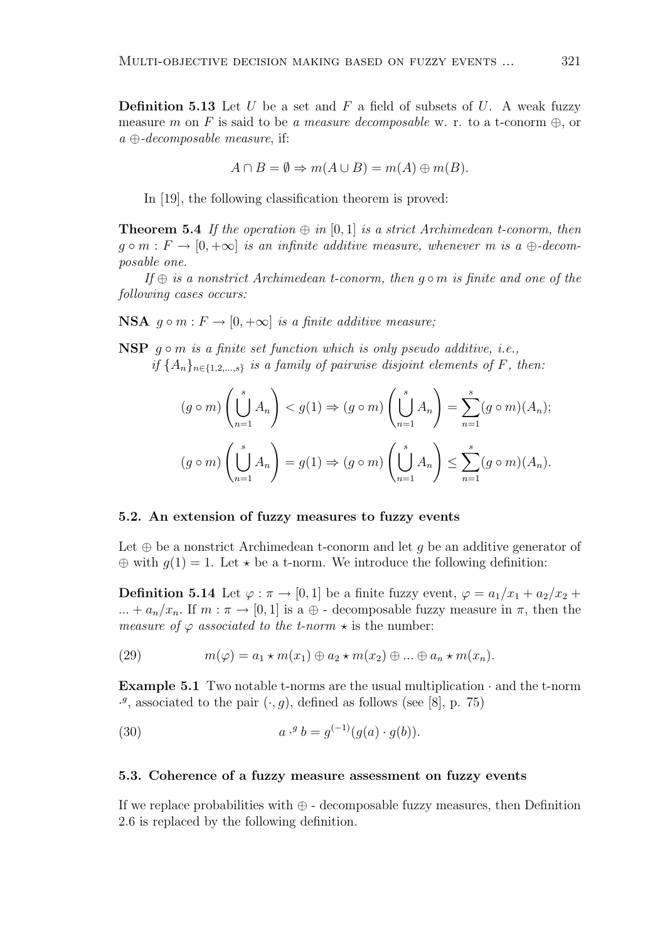**Definition 5.13** Let U be a set and F a field of subsets of U. A weak fuzzy measure m on F is said to be a measure decomposable w. r. to a t-conorm  $\oplus$ , or  $a \oplus$ -decomposable measure, if:

$$
A \cap B = \emptyset \Rightarrow m(A \cup B) = m(A) \oplus m(B).
$$

In [19], the following classification theorem is proved:

**Theorem 5.4** If the operation  $\oplus$  in [0, 1] is a strict Archimedean t-conorm, then  $g \circ m : F \to [0, +\infty]$  is an infinite additive measure, whenever m is a  $\oplus$ -decomposable one.

If  $\oplus$  is a nonstrict Archimedean t-conorm, then  $q \circ m$  is finite and one of the following cases occurs:

**NSA**  $q \circ m : F \to [0, +\infty]$  is a finite additive measure;

NSP  $q \circ m$  is a finite set function which is only pseudo additive, i.e., if  ${A_n}_{n\in{1,2,...,s}}$  is a family of pairwise disjoint elements of F, then:

$$
(g \circ m) \left(\bigcup_{n=1}^{s} A_n \right) < g(1) \Rightarrow (g \circ m) \left(\bigcup_{n=1}^{s} A_n \right) = \sum_{n=1}^{s} (g \circ m)(A_n);
$$
\n
$$
(g \circ m) \left(\bigcup_{n=1}^{s} A_n \right) = g(1) \Rightarrow (g \circ m) \left(\bigcup_{n=1}^{s} A_n \right) \le \sum_{n=1}^{s} (g \circ m)(A_n).
$$

#### 5.2. An extension of fuzzy measures to fuzzy events

Let  $\oplus$  be a nonstrict Archimedean t-conorm and let q be an additive generator of  $\oplus$  with  $g(1) = 1$ . Let  $\star$  be a t-norm. We introduce the following definition:

**Definition 5.14** Let  $\varphi : \pi \to [0, 1]$  be a finite fuzzy event,  $\varphi = a_1/x_1 + a_2/x_2 +$ ... +  $a_n/x_n$ . If  $m : \pi \to [0, 1]$  is a  $\oplus$  - decomposable fuzzy measure in  $\pi$ , then the measure of  $\varphi$  associated to the t-norm  $\star$  is the number:

(29) 
$$
m(\varphi) = a_1 \star m(x_1) \oplus a_2 \star m(x_2) \oplus \ldots \oplus a_n \star m(x_n).
$$

**Example 5.1** Two notable t-norms are the usual multiplication  $\cdot$  and the t-norm <sup>9</sup>, associated to the pair  $(\cdot, g)$ , defined as follows (see [8], p. 75)

(30) 
$$
a^{g} b = g^{(-1)}(g(a) \cdot g(b)).
$$

## 5.3. Coherence of a fuzzy measure assessment on fuzzy events

If we replace probabilities with  $\oplus$  - decomposable fuzzy measures, then Definition 2.6 is replaced by the following definition.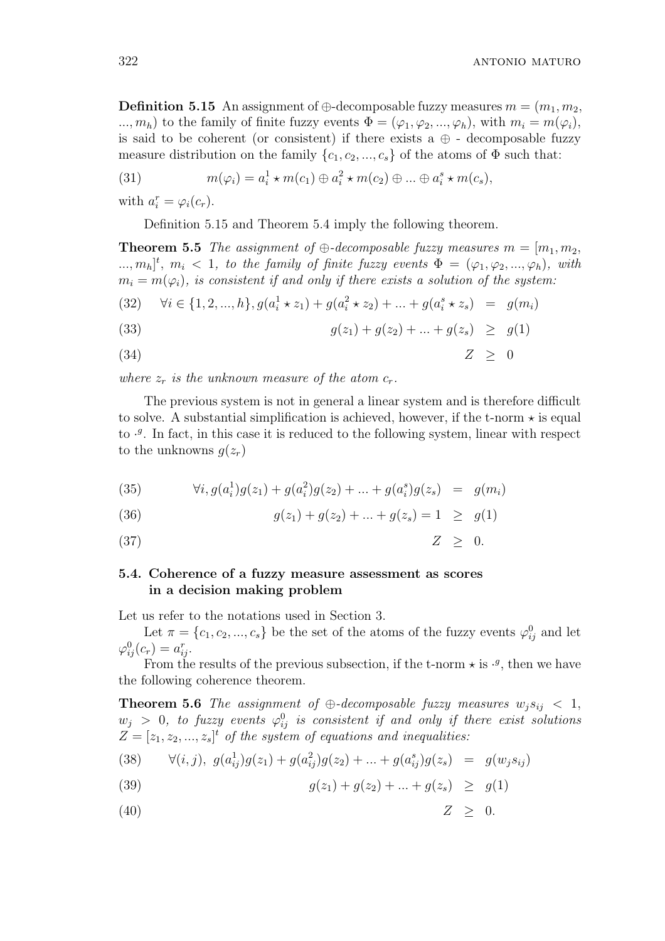**Definition 5.15** An assignment of  $\oplus$ -decomposable fuzzy measures  $m = (m_1, m_2,$ ...,  $m_h$ ) to the family of finite fuzzy events  $\Phi = (\varphi_1, \varphi_2, ..., \varphi_h)$ , with  $m_i = m(\varphi_i)$ , is said to be coherent (or consistent) if there exists a  $\oplus$  - decomposable fuzzy measure distribution on the family  $\{c_1, c_2, ..., c_s\}$  of the atoms of  $\Phi$  such that:

(31) 
$$
m(\varphi_i) = a_i^1 \star m(c_1) \oplus a_i^2 \star m(c_2) \oplus ... \oplus a_i^s \star m(c_s),
$$

with  $a_i^r = \varphi_i(c_r)$ .

Definition 5.15 and Theorem 5.4 imply the following theorem.

**Theorem 5.5** The assignment of  $\oplus$ -decomposable fuzzy measures  $m = [m_1, m_2,$  $\ldots, m_h]^t$ ,  $m_i < 1$ , to the family of finite fuzzy events  $\Phi = (\varphi_1, \varphi_2, \ldots, \varphi_h)$ , with  $m_i = m(\varphi_i)$ , is consistent if and only if there exists a solution of the system:

(32) 
$$
\forall i \in \{1, 2, ..., h\}, g(a_i^1 * z_1) + g(a_i^2 * z_2) + ... + g(a_i^s * z_s) = g(m_i)
$$

(33) 
$$
g(z_1) + g(z_2) + \ldots + g(z_s) \geq g(1)
$$

$$
(34) \t\t Z \geq 0
$$

where  $z_r$  is the unknown measure of the atom  $c_r$ .

The previous system is not in general a linear system and is therefore difficult to solve. A substantial simplification is achieved, however, if the t-norm  $\star$  is equal to  $\cdot$ . In fact, in this case it is reduced to the following system, linear with respect to the unknowns  $q(z_r)$ 

(35) 
$$
\forall i, g(a_i^1)g(z_1) + g(a_i^2)g(z_2) + \dots + g(a_i^s)g(z_s) = g(m_i)
$$

(36) 
$$
g(z_1) + g(z_2) + \ldots + g(z_s) = 1 \ge g(1)
$$

(37)  $Z \geq 0$ .

# 5.4. Coherence of a fuzzy measure assessment as scores in a decision making problem

Let us refer to the notations used in Section 3.

Let  $\pi = \{c_1, c_2, ..., c_s\}$  be the set of the atoms of the fuzzy events  $\varphi_{ij}^0$  and let  $\varphi_{ij}^0(c_r) = a_{ij}^r.$ 

From the results of the previous subsection, if the t-norm  $\star$  is  $\cdot$ <sup>*s*</sup>, then we have the following coherence theorem.

**Theorem 5.6** The assignment of  $\oplus$ -decomposable fuzzy measures  $w_i s_{ij} < 1$ ,  $w_j > 0$ , to fuzzy events  $\varphi_{ij}^0$  is consistent if and only if there exist solutions  $Z = [z_1, z_2, ..., z_s]^t$  of the system of equations and inequalities:

(38) 
$$
\forall (i,j), \ g(a_{ij}^1)g(z_1) + g(a_{ij}^2)g(z_2) + \dots + g(a_{ij}^s)g(z_s) = g(w_j s_{ij})
$$

(39) 
$$
g(z_1) + g(z_2) + \ldots + g(z_s) \geq g(1)
$$

(40)  $Z > 0$ .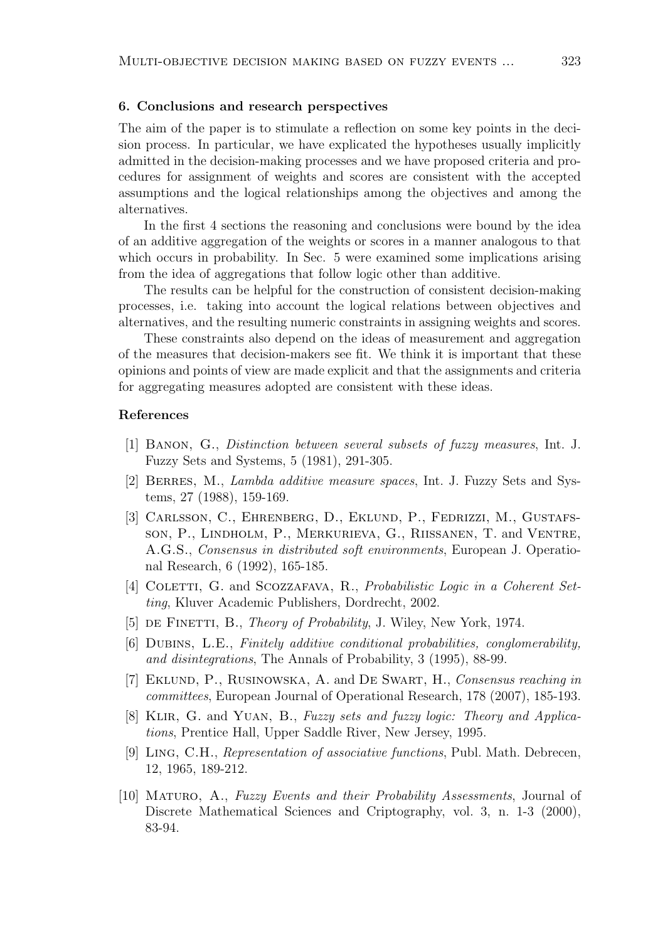#### 6. Conclusions and research perspectives

The aim of the paper is to stimulate a reflection on some key points in the decision process. In particular, we have explicated the hypotheses usually implicitly admitted in the decision-making processes and we have proposed criteria and procedures for assignment of weights and scores are consistent with the accepted assumptions and the logical relationships among the objectives and among the alternatives.

In the first 4 sections the reasoning and conclusions were bound by the idea of an additive aggregation of the weights or scores in a manner analogous to that which occurs in probability. In Sec. 5 were examined some implications arising from the idea of aggregations that follow logic other than additive.

The results can be helpful for the construction of consistent decision-making processes, i.e. taking into account the logical relations between objectives and alternatives, and the resulting numeric constraints in assigning weights and scores.

These constraints also depend on the ideas of measurement and aggregation of the measures that decision-makers see fit. We think it is important that these opinions and points of view are made explicit and that the assignments and criteria for aggregating measures adopted are consistent with these ideas.

## References

- [1] Banon, G., Distinction between several subsets of fuzzy measures, Int. J. Fuzzy Sets and Systems, 5 (1981), 291-305.
- [2] Berres, M., Lambda additive measure spaces, Int. J. Fuzzy Sets and Systems, 27 (1988), 159-169.
- [3] Carlsson, C., Ehrenberg, D., Eklund, P., Fedrizzi, M., Gustafsson, P., Lindholm, P., Merkurieva, G., Riissanen, T. and Ventre, A.G.S., Consensus in distributed soft environments, European J. Operational Research, 6 (1992), 165-185.
- [4] COLETTI, G. and SCOZZAFAVA, R., *Probabilistic Logic in a Coherent Set*ting, Kluver Academic Publishers, Dordrecht, 2002.
- [5] DE FINETTI, B., *Theory of Probability*, J. Wiley, New York, 1974.
- [6] DUBINS, L.E., Finitely additive conditional probabilities, conglomerability, and disintegrations, The Annals of Probability, 3 (1995), 88-99.
- [7] EKLUND, P., RUSINOWSKA, A. and DE SWART, H., Consensus reaching in committees, European Journal of Operational Research, 178 (2007), 185-193.
- [8] Klir, G. and Yuan, B., Fuzzy sets and fuzzy logic: Theory and Applications, Prentice Hall, Upper Saddle River, New Jersey, 1995.
- [9] Ling, C.H., Representation of associative functions, Publ. Math. Debrecen, 12, 1965, 189-212.
- [10] Maturo, A., Fuzzy Events and their Probability Assessments, Journal of Discrete Mathematical Sciences and Criptography, vol. 3, n. 1-3 (2000), 83-94.